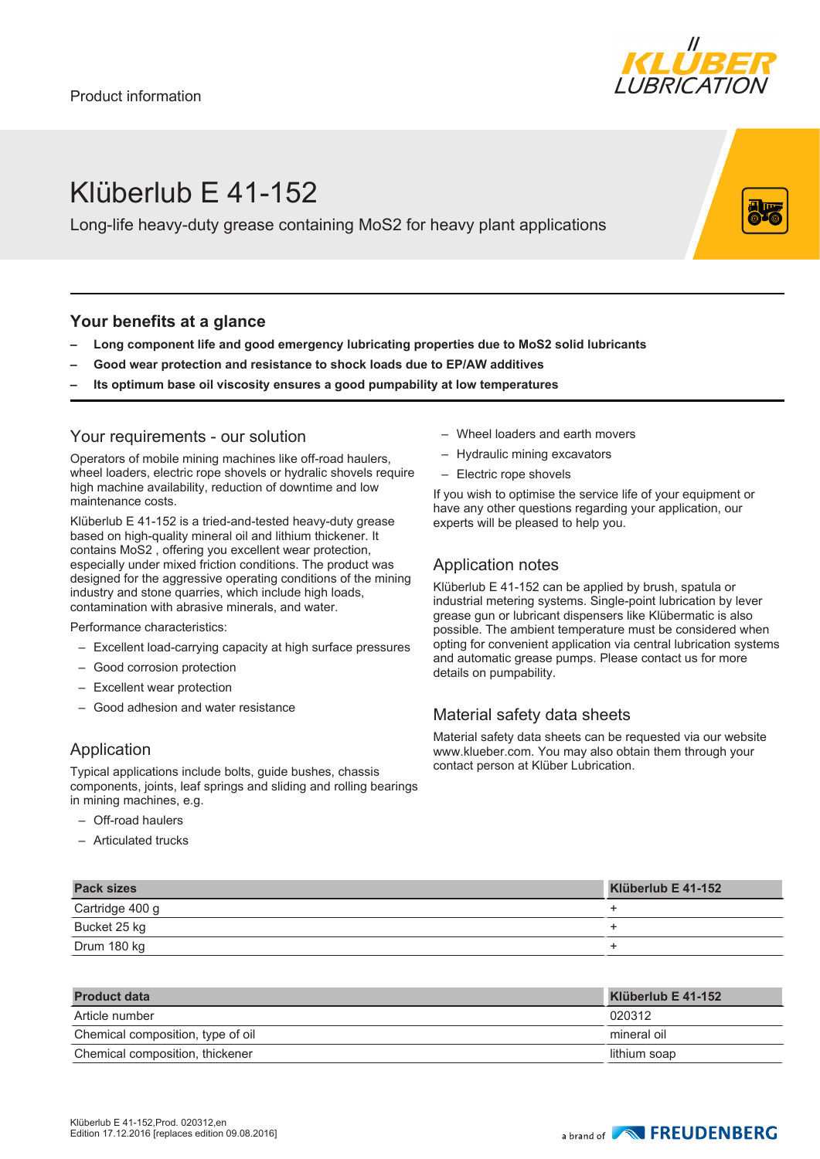

# Klüberlub E 41-152

Long-life heavy-duty grease containing MoS2 for heavy plant applications

### **Your benefits at a glance**

- **– Long component life and good emergency lubricating properties due to MoS2 solid lubricants**
- **– Good wear protection and resistance to shock loads due to EP/AW additives**
- **– Its optimum base oil viscosity ensures a good pumpability at low temperatures**

#### Your requirements - our solution

Operators of mobile mining machines like off-road haulers, wheel loaders, electric rope shovels or hydralic shovels require high machine availability, reduction of downtime and low maintenance costs.

Klüberlub E 41-152 is a tried-and-tested heavy-duty grease based on high-quality mineral oil and lithium thickener. It contains MoS2 , offering you excellent wear protection, especially under mixed friction conditions. The product was designed for the aggressive operating conditions of the mining industry and stone quarries, which include high loads, contamination with abrasive minerals, and water.

Performance characteristics:

- Excellent load-carrying capacity at high surface pressures
- Good corrosion protection
- Excellent wear protection
- Good adhesion and water resistance

## Application

Typical applications include bolts, guide bushes, chassis components, joints, leaf springs and sliding and rolling bearings in mining machines, e.g.

- Off-road haulers
- Articulated trucks
- Wheel loaders and earth movers
- Hydraulic mining excavators
- Electric rope shovels

If you wish to optimise the service life of your equipment or have any other questions regarding your application, our experts will be pleased to help you.

#### Application notes

Klüberlub E 41-152 can be applied by brush, spatula or industrial metering systems. Single-point lubrication by lever grease gun or lubricant dispensers like Klübermatic is also possible. The ambient temperature must be considered when opting for convenient application via central lubrication systems and automatic grease pumps. Please contact us for more details on pumpability.

## Material safety data sheets

Material safety data sheets can be requested via our website www.klueber.com. You may also obtain them through your contact person at Klüber Lubrication.

| <b>Pack sizes</b> | Klüberlub E 41-152 |
|-------------------|--------------------|
| Cartridge 400 g   |                    |
| Bucket 25 kg      |                    |
| Drum 180 kg       |                    |

| <b>Product data</b>               | Klüberlub E 41-152 |
|-----------------------------------|--------------------|
| Article number                    | 020312             |
| Chemical composition, type of oil | mineral oil        |
| Chemical composition, thickener   | lithium soap       |